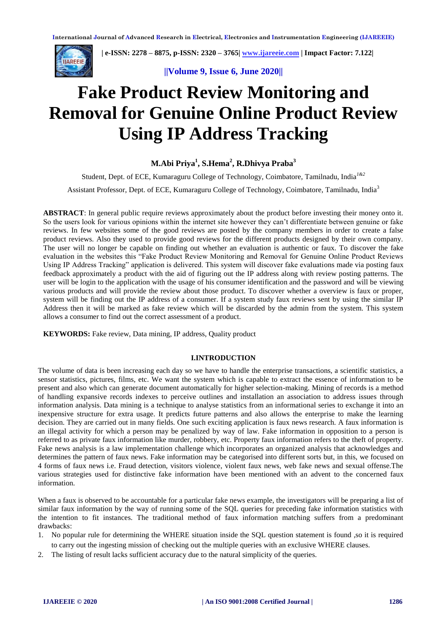

 **| e-ISSN: 2278 – 8875, p-ISSN: 2320 – 3765[| www.ijareeie.com](http://www.ijareeie.com/) | Impact Factor: 7.122|** 

**||Volume 9, Issue 6, June 2020||** 

# **Fake Product Review Monitoring and Removal for Genuine Online Product Review Using IP Address Tracking**

# **M.Abi Priya<sup>1</sup> , S.Hema<sup>2</sup> , R.Dhivya Praba<sup>3</sup>**

Student, Dept. of ECE, Kumaraguru College of Technology, Coimbatore, Tamilnadu, India*1&2*

Assistant Professor, Dept. of ECE, Kumaraguru College of Technology, Coimbatore, Tamilnadu, India<sup>3</sup>

**ABSTRACT**: In general public require reviews approximately about the product before investing their money onto it. So the users look for various opinions within the internet site however they can't differentiate between genuine or fake reviews. In few websites some of the good reviews are posted by the company members in order to create a false product reviews. Also they used to provide good reviews for the different products designed by their own company. The user will no longer be capable on finding out whether an evaluation is authentic or faux. To discover the fake evaluation in the websites this "Fake Product Review Monitoring and Removal for Genuine Online Product Reviews Using IP Address Tracking" application is delivered. This system will discover fake evaluations made via posting faux feedback approximately a product with the aid of figuring out the IP address along with review posting patterns. The user will be login to the application with the usage of his consumer identification and the password and will be viewing various products and will provide the review about those product. To discover whether a overview is faux or proper, system will be finding out the IP address of a consumer. If a system study faux reviews sent by using the similar IP Address then it will be marked as fake review which will be discarded by the admin from the system. This system allows a consumer to find out the correct assessment of a product.

**KEYWORDS:** Fake review, Data mining, IP address, Quality product

## **I.INTRODUCTION**

The volume of data is been increasing each day so we have to handle the enterprise transactions, a scientific statistics, a sensor statistics, pictures, films, etc. We want the system which is capable to extract the essence of information to be present and also which can generate document automatically for higher selection-making. Mining of records is a method of handling expansive records indexes to perceive outlines and installation an association to address issues through information analysis. Data mining is a technique to analyse statistics from an informational series to exchange it into an inexpensive structure for extra usage. It predicts future patterns and also allows the enterprise to make the learning decision. They are carried out in many fields. One such exciting application is faux news research. A faux information is an illegal activity for which a person may be penalized by way of law. Fake information in opposition to a person is referred to as private faux information like murder, robbery, etc. Property faux information refers to the theft of property. Fake news analysis is a law implementation challenge which incorporates an organized analysis that acknowledges and determines the pattern of faux news. Fake information may be categorised into different sorts but, in this, we focused on 4 forms of faux news i.e. Fraud detection, visitors violence, violent faux news, web fake news and sexual offense.The various strategies used for distinctive fake information have been mentioned with an advent to the concerned faux information.

When a faux is observed to be accountable for a particular fake news example, the investigators will be preparing a list of similar faux information by the way of running some of the SQL queries for preceding fake information statistics with the intention to fit instances. The traditional method of faux information matching suffers from a predominant drawbacks:

- 1. No popular rule for determining the WHERE situation inside the SQL question statement is found ,so it is required to carry out the ingesting mission of checking out the multiple queries with an exclusive WHERE clauses.
- 2. The listing of result lacks sufficient accuracy due to the natural simplicity of the queries.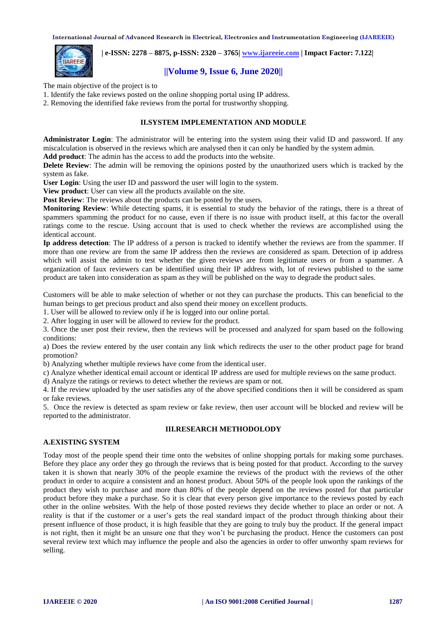

 **| e-ISSN: 2278 – 8875, p-ISSN: 2320 – 3765[| www.ijareeie.com](http://www.ijareeie.com/) | Impact Factor: 7.122|** 

# **||Volume 9, Issue 6, June 2020||**

The main objective of the project is to

- 1. Identify the fake reviews posted on the online shopping portal using IP address.
- 2. Removing the identified fake reviews from the portal for trustworthy shopping.

# **II.SYSTEM IMPLEMENTATION AND MODULE**

**Administrator Login**: The administrator will be entering into the system using their valid ID and password. If any miscalculation is observed in the reviews which are analysed then it can only be handled by the system admin.

**Add product**: The admin has the access to add the products into the website.

**Delete Review**: The admin will be removing the opinions posted by the unauthorized users which is tracked by the system as fake.

**User Login**: Using the user ID and password the user will login to the system.

**View product**: User can view all the products available on the site.

**Post Review:** The reviews about the products can be posted by the users.

**Monitoring Review**: While detecting spams, it is essential to study the behavior of the ratings, there is a threat of spammers spamming the product for no cause, even if there is no issue with product itself, at this factor the overall ratings come to the rescue. Using account that is used to check whether the reviews are accomplished using the identical account.

**Ip address detection**: The IP address of a person is tracked to identify whether the reviews are from the spammer. If more than one review are from the same IP address then the reviews are considered as spam. Detection of ip address which will assist the admin to test whether the given reviews are from legitimate users or from a spammer. A organization of faux reviewers can be identified using their IP address with, lot of reviews published to the same product are taken into consideration as spam as they will be published on the way to degrade the product sales.

Customers will be able to make selection of whether or not they can purchase the products. This can beneficial to the human beings to get precious product and also spend their money on excellent products.

1. User will be allowed to review only if he is logged into our online portal.

2. After logging in user will be allowed to review for the product.

3. Once the user post their review, then the reviews will be processed and analyzed for spam based on the following conditions:

a) Does the review entered by the user contain any link which redirects the user to the other product page for brand promotion?

b) Analyzing whether multiple reviews have come from the identical user.

c) Analyze whether identical email account or identical IP address are used for multiple reviews on the same product.

d) Analyze the ratings or reviews to detect whether the reviews are spam or not.

4. If the review uploaded by the user satisfies any of the above specified conditions then it will be considered as spam or fake reviews.

5. Once the review is detected as spam review or fake review, then user account will be blocked and review will be reported to the administrator.

# **III.RESEARCH METHODOLODY**

#### **A.EXISTING SYSTEM**

Today most of the people spend their time onto the websites of online shopping portals for making some purchases. Before they place any order they go through the reviews that is being posted for that product. According to the survey taken it is shown that nearly 30% of the people examine the reviews of the product with the reviews of the other product in order to acquire a consistent and an honest product. About 50% of the people look upon the rankings of the product they wish to purchase and more than 80% of the people depend on the reviews posted for that particular product before they make a purchase. So it is clear that every person give importance to the reviews posted by each other in the online websites. With the help of those posted reviews they decide whether to place an order or not. A reality is that if the customer or a user's gets the real standard impact of the product through thinking about their present influence of those product, it is high feasible that they are going to truly buy the product. If the general impact is not right, then it might be an unsure one that they won't be purchasing the product. Hence the customers can post several review text which may influence the people and also the agencies in order to offer unworthy spam reviews for selling.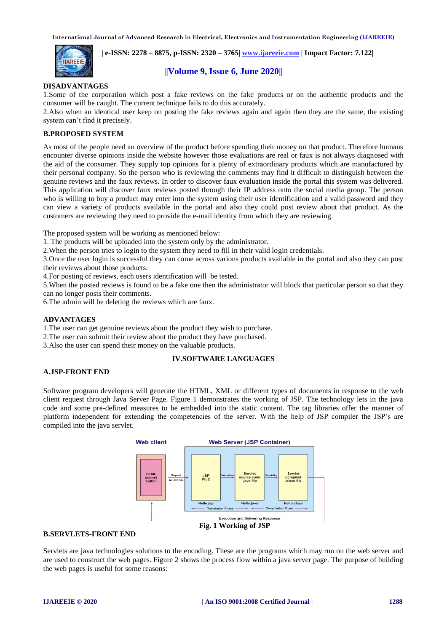

 **| e-ISSN: 2278 – 8875, p-ISSN: 2320 – 3765[| www.ijareeie.com](http://www.ijareeie.com/) | Impact Factor: 7.122|** 

# **||Volume 9, Issue 6, June 2020||**

## **DISADVANTAGES**

1.Some of the corporation which post a fake reviews on the fake products or on the authentic products and the consumer will be caught. The current technique fails to do this accurately.

2.Also when an identical user keep on posting the fake reviews again and again then they are the same, the existing system can't find it precisely.

# **B.PROPOSED SYSTEM**

As most of the people need an overview of the product before spending their money on that product. Therefore humans encounter diverse opinions inside the website however those evaluations are real or faux is not always diagnosed with the aid of the consumer. They supply top opinions for a plenty of extraordinary products which are manufactured by their personal company. So the person who is reviewing the comments may find it difficult to distinguish between the genuine reviews and the faux reviews. In order to discover faux evaluation inside the portal this system was delivered. This application will discover faux reviews posted through their IP address onto the social media group. The person who is willing to buy a product may enter into the system using their user identification and a valid password and they can view a variety of products available in the portal and also they could post review about that product. As the customers are reviewing they need to provide the e-mail identity from which they are reviewing.

The proposed system will be working as mentioned below:

1. The products will be uploaded into the system only by the administrator.

2.When the person tries to login to the system they need to fill in their valid login credentials.

3.Once the user login is successful they can come across various products available in the portal and also they can post their reviews about those products.

4.For posting of reviews, each users identification will be tested.

5.When the posted reviews is found to be a fake one then the administrator will block that particular person so that they can no longer posts their comments.

6.The admin will be deleting the reviews which are faux.

#### **ADVANTAGES**

1.The user can get genuine reviews about the product they wish to purchase.

- 2.The user can submit their review about the product they have purchased.
- 3.Also the user can spend their money on the valuable products.

# **IV.SOFTWARE LANGUAGES**

## **A.JSP-FRONT END**

Software program developers will generate the HTML, XML or different types of documents in response to the web client request through Java Server Page. Figure 1 demonstrates the working of JSP. The technology lets in the java code and some pre-defined measures to be embedded into the static content. The tag libraries offer the manner of platform independent for extending the competencies of the server. With the help of JSP compiler the JSP's are compiled into the java servlet.



## **B.SERVLETS-FRONT END**

Servlets are java technologies solutions to the encoding. These are the programs which may run on the web server and are used to construct the web pages. Figure 2 shows the process flow within a java server page. The purpose of building the web pages is useful for some reasons: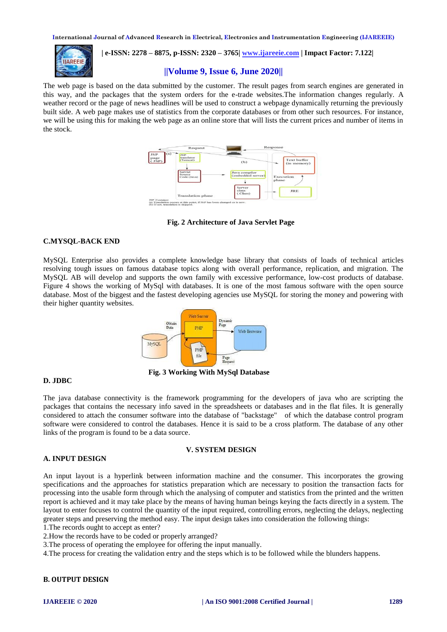

 **| e-ISSN: 2278 – 8875, p-ISSN: 2320 – 3765[| www.ijareeie.com](http://www.ijareeie.com/) | Impact Factor: 7.122|** 

# **||Volume 9, Issue 6, June 2020||**

The web page is based on the data submitted by the customer. The result pages from search engines are generated in this way, and the packages that the system orders for the e-trade websites.The information changes regularly. A weather record or the page of news headlines will be used to construct a webpage dynamically returning the previously built side. A web page makes use of statistics from the corporate databases or from other such resources. For instance, we will be using this for making the web page as an online store that will lists the current prices and number of items in the stock.



**Fig. 2 Architecture of Java Servlet Page** 

#### **C.MYSQL-BACK END**

MySQL Enterprise also provides a complete knowledge base library that consists of loads of technical articles resolving tough issues on famous database topics along with overall performance, replication, and migration. The MySQL AB will develop and supports the own family with excessive performance, low-cost products of database. Figure 4 shows the working of MySql with databases. It is one of the most famous software with the open source database. Most of the biggest and the fastest developing agencies use MySQL for storing the money and powering with their higher quantity websites.



 **Fig. 3 Working With MySql Database**

## **D. JDBC**

The java database connectivity is the framework programming for the developers of java who are scripting the packages that contains the necessary info saved in the spreadsheets or databases and in the flat files. It is generally considered to attach the consumer software into the database of "backstage" of which the database control program software were considered to control the databases. Hence it is said to be a cross platform. The database of any other links of the program is found to be a data source.

#### **A. INPUT DESIGN**

# **V. SYSTEM DESIGN**

An input layout is a hyperlink between information machine and the consumer. This incorporates the growing specifications and the approaches for statistics preparation which are necessary to position the transaction facts for processing into the usable form through which the analysing of computer and statistics from the printed and the written report is achieved and it may take place by the means of having human beings keying the facts directly in a system. The layout to enter focuses to control the quantity of the input required, controlling errors, neglecting the delays, neglecting greater steps and preserving the method easy. The input design takes into consideration the following things:

1.The records ought to accept as enter?

2.How the records have to be coded or properly arranged?

3.The process of operating the employee for offering the input manually.

4.The process for creating the validation entry and the steps which is to be followed while the blunders happens.

## **B. OUTPUT DESIGN**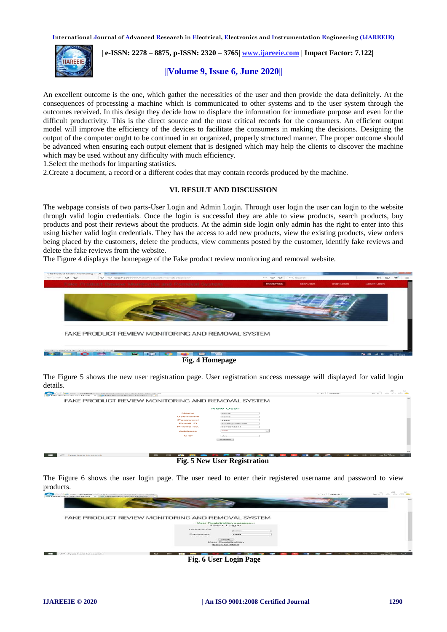

 **| e-ISSN: 2278 – 8875, p-ISSN: 2320 – 3765[| www.ijareeie.com](http://www.ijareeie.com/) | Impact Factor: 7.122|** 

# **||Volume 9, Issue 6, June 2020||**

An excellent outcome is the one, which gather the necessities of the user and then provide the data definitely. At the consequences of processing a machine which is communicated to other systems and to the user system through the outcomes received. In this design they decide how to displace the information for immediate purpose and even for the difficult productivity. This is the direct source and the most critical records for the consumers. An efficient output model will improve the efficiency of the devices to facilitate the consumers in making the decisions. Designing the output of the computer ought to be continued in an organized, properly structured manner. The proper outcome should be advanced when ensuring each output element that is designed which may help the clients to discover the machine which may be used without any difficulty with much efficiency.

1.Select the methods for imparting statistics.

2.Create a document, a record or a different codes that may contain records produced by the machine.

#### **VI. RESULT AND DISCUSSION**

The webpage consists of two parts-User Login and Admin Login. Through user login the user can login to the website through valid login credentials. Once the login is successful they are able to view products, search products, buy products and post their reviews about the products. At the admin side login only admin has the right to enter into this using his/her valid login credentials. They has the access to add new products, view the existing products, view orders being placed by the customers, delete the products, view comments posted by the customer, identify fake reviews and delete the fake reviews from the website.

The Figure 4 displays the homepage of the Fake product review monitoring and removal website.



 **Fig. 4 Homepage**

The Figure 5 shows the new user registration page. User registration success message will displayed for valid login details.



 **Fig. 5 New User Registration**

The Figure 6 shows the user login page. The user need to enter their registered username and password to view products.



 **Fig. 6 User Login Page**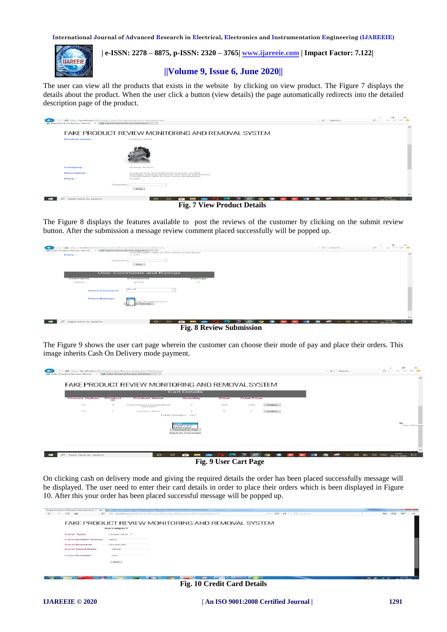

 **| e-ISSN: 2278 – 8875, p-ISSN: 2320 – 3765[| www.ijareeie.com](http://www.ijareeie.com/) | Impact Factor: 7.122|** 

# **||Volume 9, Issue 6, June 2020||**

The user can view all the products that exists in the website by clicking on view product. The Figure 7 displays the details about the product. When the user click a button (view details) the page automatically redirects into the detailed description page of the product.



 **Fig. 7 View Product Details**

The Figure 8 displays the features available to post the reviews of the customer by clicking on the submit review button. After the submission a message review comment placed successfully will be popped up.

| INSp://localhost.IOSD/FakeProductReviewsDetection/viewdetail.jsp<br>$\epsilon$<br>Fake Product Review Monit $\times$ Z Fake Product Review Monitori   27 | Comfortable due to low noise propulsion. |                                                                               |                                       | $= 45$ Search | $\sim$<br>$\mathbb{1}$<br>$\hspace{0.1mm}$<br>$\mathcal{P} = \mathcal{P} \times \mathcal{P} \times \mathcal{P} \times \mathcal{P}$ |
|----------------------------------------------------------------------------------------------------------------------------------------------------------|------------------------------------------|-------------------------------------------------------------------------------|---------------------------------------|---------------|------------------------------------------------------------------------------------------------------------------------------------|
| <b>Price:</b>                                                                                                                                            | 2.500                                    |                                                                               |                                       |               | $\widehat{\phantom{m}}$                                                                                                            |
| Quantity                                                                                                                                                 | <b>Buy</b>                               |                                                                               |                                       |               |                                                                                                                                    |
|                                                                                                                                                          | <b>User Comments and Ratings</b>         |                                                                               |                                       |               |                                                                                                                                    |
|                                                                                                                                                          |                                          |                                                                               |                                       |               |                                                                                                                                    |
| Username                                                                                                                                                 | Comments                                 | Ratings                                                                       |                                       |               |                                                                                                                                    |
| Hema                                                                                                                                                     | good                                     | $\sim$                                                                        |                                       |               |                                                                                                                                    |
| <b>Place Comment</b>                                                                                                                                     | Good<br><b>Service State</b><br>$\sim$   |                                                                               |                                       |               |                                                                                                                                    |
| <b>Place Ratings</b>                                                                                                                                     | MaryPrivadharshire<br>UR FRANKlower      |                                                                               |                                       |               |                                                                                                                                    |
|                                                                                                                                                          |                                          |                                                                               |                                       |               |                                                                                                                                    |
|                                                                                                                                                          |                                          |                                                                               |                                       |               |                                                                                                                                    |
|                                                                                                                                                          |                                          |                                                                               |                                       |               | $\checkmark$                                                                                                                       |
| <b>PHP</b><br>$D$ Type here to search                                                                                                                    |                                          | $\circ$ $\bullet$ $\bullet$ $\bullet$ $\bullet$ $\bullet$ $\bullet$ $\bullet$ | <b>September</b><br><b>STATISTICS</b> | --<br>$\sim$  | $\sim$ 82 80 48 596 $^{17/33}$ $\Box$                                                                                              |

 **Fig. 8 Review Submission** 

The Figure 9 shows the user cart page wherein the customer can choose their mode of pay and place their orders. This image inherits Cash On Delivery mode payment.

|                      |               |                                    | <b>Cart Details</b>                                                    |               |                    |        |  |  |
|----------------------|---------------|------------------------------------|------------------------------------------------------------------------|---------------|--------------------|--------|--|--|
| <b>Choose Option</b> | Product<br>ïБ | <b>Product Name</b>                | Quantity                                                               | Price         | <b>Total Price</b> |        |  |  |
| $\circ$              | $\mathbf{3}$  | Thermistor(Temperature)<br>Sensor) | $\rightarrow$                                                          | 159           | 159                | Delete |  |  |
| $\circ$              |               | Electric drive                     |                                                                        | $\Rightarrow$ | $\geq$             | Delete |  |  |
|                      |               |                                    | Total Charges: 161                                                     |               |                    |        |  |  |
|                      |               |                                    | Credit Card<br><b>Debit Card</b><br>Proceed to Pay<br>Back to Purchase |               |                    |        |  |  |

 **Fig. 9 User Cart Page**

On clicking cash on delivery mode and giving the required details the order has been placed successfully message will be displayed. The user need to enter their card details in order to place their orders which is been displayed in Figure 10. After this your order has been placed successful message will be popped up.

| <b>Fake Printhet Review Monitoring -</b>                    | <b>Test</b>                                                                   |                      | <b>Concert and CEO commercial Concert</b>                                                                                                                                                                                                    |
|-------------------------------------------------------------|-------------------------------------------------------------------------------|----------------------|----------------------------------------------------------------------------------------------------------------------------------------------------------------------------------------------------------------------------------------------|
| $\sim$<br>$\sim$<br><b>Contract Contract</b><br><b>VENT</b> | CD Begathing EGGO/EnterPresident/ReviewsDetention/ChoosedPapment<br><b>SO</b> | *** 69 W. Ct. Search | BOY.<br><b>The Contract of the Contract of the Contract of the Contract of the Contract of the Contract of The Contract of The Contract of The Contract of The Contract of The Contract of The Contract of The Contract of The Contract </b> |
|                                                             | FAKE PRODUCT REVIEW MONITORING AND REMOVAL SYSTEM                             |                      |                                                                                                                                                                                                                                              |
|                                                             | PAYMENT                                                                       |                      |                                                                                                                                                                                                                                              |
| <b>Card Type</b>                                            | Credit Card =                                                                 |                      |                                                                                                                                                                                                                                              |
| Card Holder Name                                            | southern.                                                                     |                      |                                                                                                                                                                                                                                              |
| Card Number                                                 | 123456789                                                                     |                      |                                                                                                                                                                                                                                              |
| Card Valid Date                                             | 12/20                                                                         |                      |                                                                                                                                                                                                                                              |
| <b>CVV Number</b>                                           | 3.23                                                                          |                      |                                                                                                                                                                                                                                              |
|                                                             | - moving                                                                      |                      |                                                                                                                                                                                                                                              |
|                                                             |                                                                               |                      |                                                                                                                                                                                                                                              |
|                                                             |                                                                               |                      |                                                                                                                                                                                                                                              |
|                                                             | <b>COMPANY</b><br>$\,$                                                        |                      | 33.492<br><b>Chairman</b><br><b>CONTRACTOR</b><br><b>WAS CITED FOR THE</b>                                                                                                                                                                   |

**Fig. 10 Credit Card Details**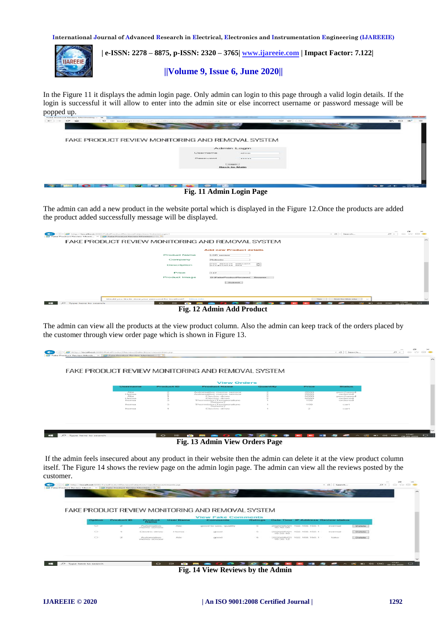

 **| e-ISSN: 2278 – 8875, p-ISSN: 2320 – 3765[| www.ijareeie.com](http://www.ijareeie.com/) | Impact Factor: 7.122|** 

# **||Volume 9, Issue 6, June 2020||**

In the Figure 11 it displays the admin login page. Only admin can login to this page through a valid login details. If the login is successful it will allow to enter into the admin site or else incorrect username or password message will be popped up.

| $-1$<br>UD bocalhost@CRO/FalosProductRevrewsDetection/adminicqin.inp |                                        | ----<br>$\sim$<br>Total Constitution of the | <b>SERVICE</b> |
|----------------------------------------------------------------------|----------------------------------------|---------------------------------------------|----------------|
|                                                                      |                                        |                                             |                |
|                                                                      |                                        |                                             |                |
| FAKE PRODUCT REVIEW MONITORING AND REMOVAL SYSTEM                    |                                        |                                             |                |
|                                                                      | Admin Login                            |                                             |                |
|                                                                      | Username                               | adman.                                      |                |
|                                                                      | Password                               | -----                                       |                |
|                                                                      | <b><i>ALCOHOL:</i></b><br>Back to Main |                                             |                |
|                                                                      |                                        |                                             |                |
|                                                                      |                                        |                                             |                |
|                                                                      |                                        |                                             |                |
| <b>COMPANY</b>                                                       | $\sim$                                 |                                             | 1004304        |

#### **Fig. 11 Admin Login Page**

The admin can add a new product in the website portal which is displayed in the Figure 12.Once the products are added the product added successfully message will be displayed.

| http://benalbest-0202/FakeProductReviewsDetection/Administration/<br>$\leftarrow$<br><b>C. Fake Product Review Monit &gt; C. Fake Product Review Monitori</b> | $\mathcal{P} = \square \quad \text{for} \quad \text{for} \quad \text{on} \quad \blacksquare$<br>$ -$<br><b>September</b> |                          |
|---------------------------------------------------------------------------------------------------------------------------------------------------------------|--------------------------------------------------------------------------------------------------------------------------|--------------------------|
| FAKE PRODUCT REVIEW MONITORING AND REMOVAL SYSTEM                                                                                                             |                                                                                                                          | $\widehat{\phantom{m}}$  |
|                                                                                                                                                               | <b>Add new Product details</b>                                                                                           |                          |
| <b>Product Name</b>                                                                                                                                           | LDR sensor                                                                                                               |                          |
| Company                                                                                                                                                       | Robodo                                                                                                                   |                          |
| Description                                                                                                                                                   | Can detect and Lens.<br>$\overline{\phantom{m}}$<br>$\widetilde{\phantom{m}}$<br>bezoness and                            |                          |
| Price                                                                                                                                                         | 147                                                                                                                      |                          |
| Product Image                                                                                                                                                 | D:\FakeProductReviews flrowse.                                                                                           |                          |
|                                                                                                                                                               | Submit                                                                                                                   |                          |
|                                                                                                                                                               |                                                                                                                          |                          |
|                                                                                                                                                               |                                                                                                                          |                          |
|                                                                                                                                                               |                                                                                                                          |                          |
| Would you like to store your password for localism?<br><b>Bullarian Smiths</b>                                                                                | <b>State</b><br>Point for this site.<br><b>Sect</b>                                                                      | $\sim$                   |
| $\sim$<br>$\overline{\phantom{a}}$<br><b>CONTRACTOR</b><br>$\bullet$<br>Type here to search                                                                   | 052 80 416 6146 00-05-2020<br>≂<br>-<br>e<br>$\sim$<br>$\sim$<br>-                                                       | $\overline{\phantom{a}}$ |
| $\sim$                                                                                                                                                        | $\sim$                                                                                                                   |                          |

 **Fig. 12 Admin Add Product** 

The admin can view all the products at the view product column. Also the admin can keep track of the orders placed by the customer through view order page which is shown in Figure 13.

|                                                                  |               | FAKE PRODUCT REVIEW MONITORING AND REMOVAL SYSTEM                                                                   |          |                                            |                                                                |  |
|------------------------------------------------------------------|---------------|---------------------------------------------------------------------------------------------------------------------|----------|--------------------------------------------|----------------------------------------------------------------|--|
|                                                                  |               |                                                                                                                     |          |                                            |                                                                |  |
| Username                                                         | Product ID    | <b>View Orders</b><br><b>Product Name</b>                                                                           | Quantity | Price                                      | <b>Status</b>                                                  |  |
|                                                                  |               |                                                                                                                     |          |                                            |                                                                |  |
| <b>Albi</b><br>Herma<br><b>CARTIE</b><br>1-tevrman<br>Presentate |               | Automative mems sensor<br>Automative mems sensor<br>Electric drive<br>E-levelying diriver<br>Thermistor(Temperature | o        | 2600<br>2600<br>5000<br>50000<br>$-1.0553$ | purchased<br>ordered<br>purchassed<br>caratioversed<br>ordered |  |
| <b>Therman</b>                                                   | $\mathcal{R}$ | Serresor's<br>Thermistor(Temperature<br>Serison)                                                                    |          | 159                                        | CONTE                                                          |  |
| <b>Property of</b>                                               |               | Electric drive                                                                                                      |          | $\geq$                                     | COST                                                           |  |
|                                                                  |               |                                                                                                                     |          |                                            |                                                                |  |

 **Fig. 13 Admin View Orders Page**

If the admin feels insecured about any product in their website then the admin can delete it at the view product column itself. The Figure 14 shows the review page on the admin login page. The admin can view all the reviews posted by the customer.



 **Fig. 14 View Reviews by the Admin**